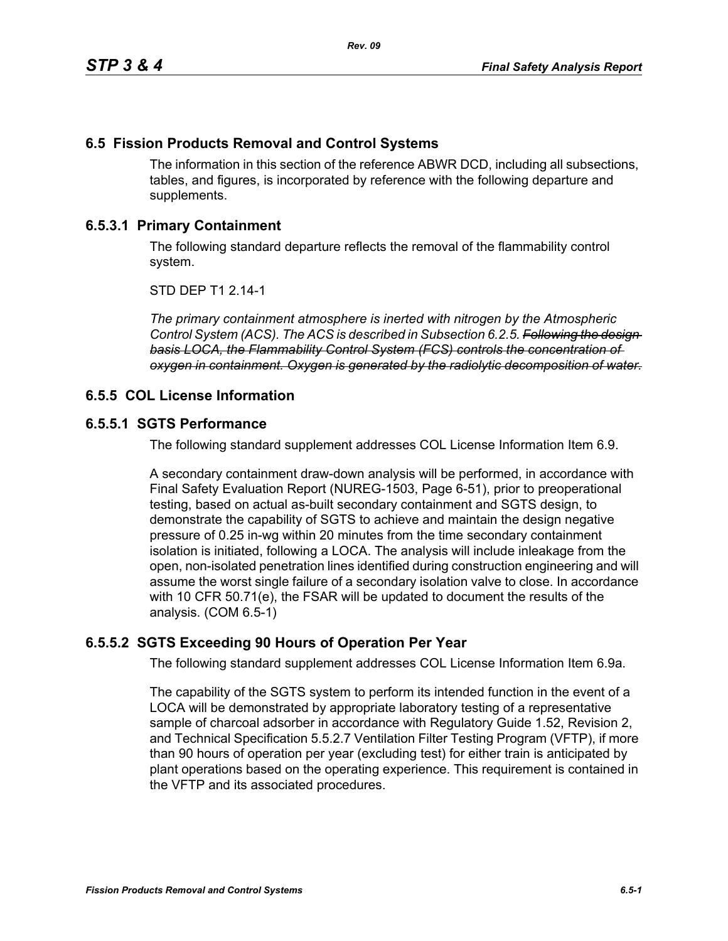## **6.5 Fission Products Removal and Control Systems**

The information in this section of the reference ABWR DCD, including all subsections, tables, and figures, is incorporated by reference with the following departure and supplements.

## **6.5.3.1 Primary Containment**

The following standard departure reflects the removal of the flammability control system.

STD DEP T1 2.14-1

*The primary containment atmosphere is inerted with nitrogen by the Atmospheric Control System (ACS). The ACS is described in Subsection 6.2.5. Following the design basis LOCA, the Flammability Control System (FCS) controls the concentration of oxygen in containment. Oxygen is generated by the radiolytic decomposition of water.*

#### **6.5.5 COL License Information**

#### **6.5.5.1 SGTS Performance**

The following standard supplement addresses COL License Information Item 6.9.

A secondary containment draw-down analysis will be performed, in accordance with Final Safety Evaluation Report (NUREG-1503, Page 6-51), prior to preoperational testing, based on actual as-built secondary containment and SGTS design, to demonstrate the capability of SGTS to achieve and maintain the design negative pressure of 0.25 in-wg within 20 minutes from the time secondary containment isolation is initiated, following a LOCA. The analysis will include inleakage from the open, non-isolated penetration lines identified during construction engineering and will assume the worst single failure of a secondary isolation valve to close. In accordance with 10 CFR 50.71(e), the FSAR will be updated to document the results of the analysis. (COM 6.5-1)

# **6.5.5.2 SGTS Exceeding 90 Hours of Operation Per Year**

The following standard supplement addresses COL License Information Item 6.9a.

The capability of the SGTS system to perform its intended function in the event of a LOCA will be demonstrated by appropriate laboratory testing of a representative sample of charcoal adsorber in accordance with Regulatory Guide 1.52, Revision 2, and Technical Specification 5.5.2.7 Ventilation Filter Testing Program (VFTP), if more than 90 hours of operation per year (excluding test) for either train is anticipated by plant operations based on the operating experience. This requirement is contained in the VFTP and its associated procedures.